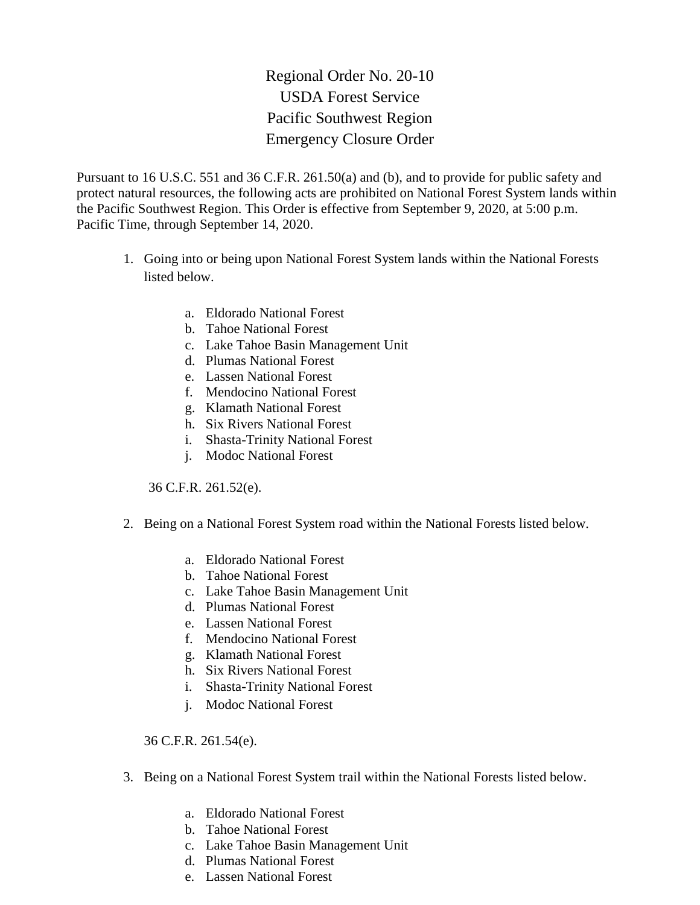Regional Order No. 20-10 USDA Forest Service Pacific Southwest Region Emergency Closure Order

Pursuant to 16 U.S.C. 551 and 36 C.F.R. 261.50(a) and (b), and to provide for public safety and protect natural resources, the following acts are prohibited on National Forest System lands within the Pacific Southwest Region. This Order is effective from September 9, 2020, at 5:00 p.m. Pacific Time, through September 14, 2020.

- 1. Going into or being upon National Forest System lands within the National Forests listed below.
	- a. Eldorado National Forest
	- b. Tahoe National Forest
	- c. Lake Tahoe Basin Management Unit
	- d. Plumas National Forest
	- e. Lassen National Forest
	- f. Mendocino National Forest
	- g. Klamath National Forest
	- h. Six Rivers National Forest
	- i. Shasta-Trinity National Forest
	- j. Modoc National Forest

36 C.F.R. 261.52(e).

- 2. Being on a National Forest System road within the National Forests listed below.
	- a. Eldorado National Forest
	- b. Tahoe National Forest
	- c. Lake Tahoe Basin Management Unit
	- d. Plumas National Forest
	- e. Lassen National Forest
	- f. Mendocino National Forest
	- g. Klamath National Forest
	- h. Six Rivers National Forest
	- i. Shasta-Trinity National Forest
	- j. Modoc National Forest

36 C.F.R. 261.54(e).

- 3. Being on a National Forest System trail within the National Forests listed below.
	- a. Eldorado National Forest
	- b. Tahoe National Forest
	- c. Lake Tahoe Basin Management Unit
	- d. Plumas National Forest
	- e. Lassen National Forest